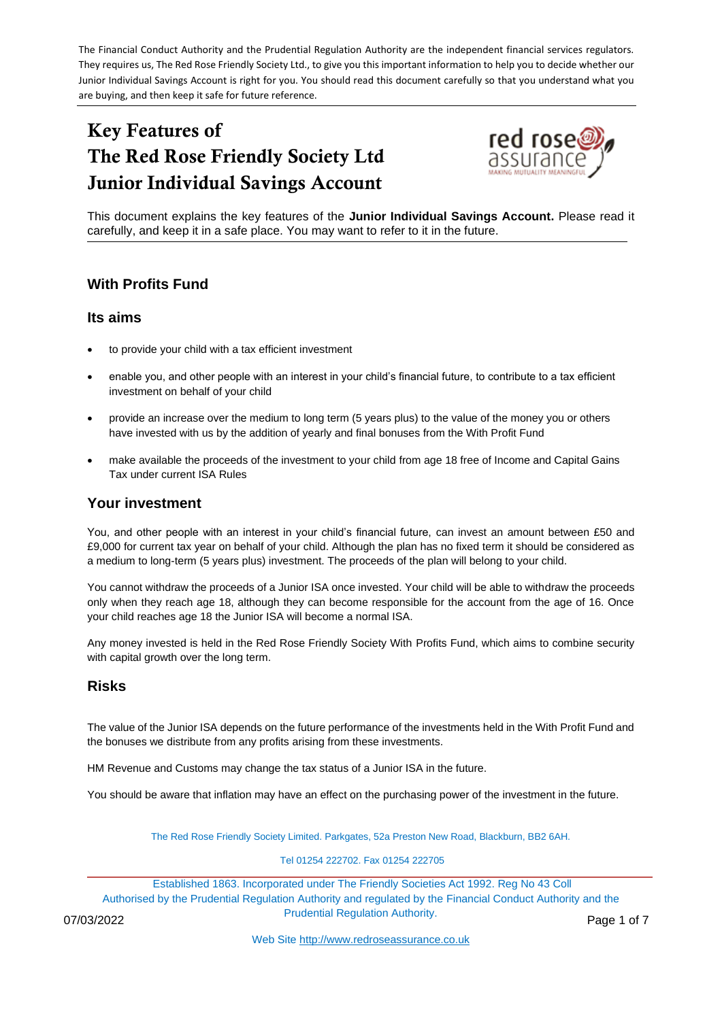The Financial Conduct Authority and the Prudential Regulation Authority are the independent financial services regulators. They requires us, The Red Rose Friendly Society Ltd., to give you this important information to help you to decide whether our Junior Individual Savings Account is right for you. You should read this document carefully so that you understand what you are buying, and then keep it safe for future reference.

# Key Features of The Red Rose Friendly Society Ltd Junior Individual Savings Account



This document explains the key features of the **Junior Individual Savings Account.** Please read it carefully, and keep it in a safe place. You may want to refer to it in the future.

## **With Profits Fund**

## **Its aims**

- to provide your child with a tax efficient investment
- enable you, and other people with an interest in your child's financial future, to contribute to a tax efficient investment on behalf of your child
- provide an increase over the medium to long term (5 years plus) to the value of the money you or others have invested with us by the addition of yearly and final bonuses from the With Profit Fund
- make available the proceeds of the investment to your child from age 18 free of Income and Capital Gains Tax under current ISA Rules

## **Your investment**

You, and other people with an interest in your child's financial future, can invest an amount between £50 and £9,000 for current tax year on behalf of your child. Although the plan has no fixed term it should be considered as a medium to long-term (5 years plus) investment. The proceeds of the plan will belong to your child.

You cannot withdraw the proceeds of a Junior ISA once invested. Your child will be able to withdraw the proceeds only when they reach age 18, although they can become responsible for the account from the age of 16. Once your child reaches age 18 the Junior ISA will become a normal ISA.

Any money invested is held in the Red Rose Friendly Society With Profits Fund, which aims to combine security with capital growth over the long term.

## **Risks**

The value of the Junior ISA depends on the future performance of the investments held in the With Profit Fund and the bonuses we distribute from any profits arising from these investments.

HM Revenue and Customs may change the tax status of a Junior ISA in the future.

You should be aware that inflation may have an effect on the purchasing power of the investment in the future.

The Red Rose Friendly Society Limited. Parkgates, 52a Preston New Road, Blackburn, BB2 6AH.

Tel 01254 222702. Fax 01254 222705

Established 1863. Incorporated under The Friendly Societies Act 1992. Reg No 43 Coll Authorised by the Prudential Regulation Authority and regulated by the Financial Conduct Authority and the Prudential Regulation Authority. 07/03/2022 Page 1 of 7

Web Site [http://www.redroseassurance.co.uk](http://www.redroseassurance.co.uk/)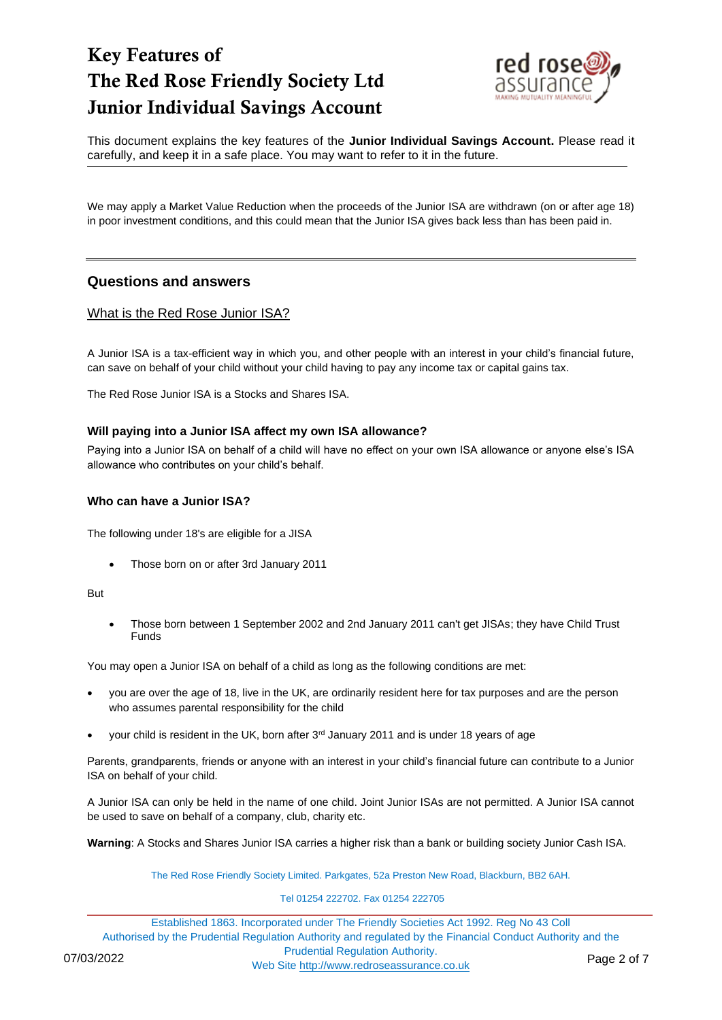

This document explains the key features of the **Junior Individual Savings Account.** Please read it carefully, and keep it in a safe place. You may want to refer to it in the future.

We may apply a Market Value Reduction when the proceeds of the Junior ISA are withdrawn (on or after age 18) in poor investment conditions, and this could mean that the Junior ISA gives back less than has been paid in.

## **Questions and answers**

### What is the Red Rose Junior ISA?

A Junior ISA is a tax-efficient way in which you, and other people with an interest in your child's financial future, can save on behalf of your child without your child having to pay any income tax or capital gains tax.

The Red Rose Junior ISA is a Stocks and Shares ISA.

#### **Will paying into a Junior ISA affect my own ISA allowance?**

Paying into a Junior ISA on behalf of a child will have no effect on your own ISA allowance or anyone else's ISA allowance who contributes on your child's behalf.

#### **Who can have a Junior ISA?**

The following under 18's are eligible for a JISA

• Those born on or after 3rd January 2011

But

• Those born between 1 September 2002 and 2nd January 2011 can't get JISAs; they have Child Trust Funds

You may open a Junior ISA on behalf of a child as long as the following conditions are met:

- you are over the age of 18, live in the UK, are ordinarily resident here for tax purposes and are the person who assumes parental responsibility for the child
- your child is resident in the UK, born after 3<sup>rd</sup> January 2011 and is under 18 years of age

Parents, grandparents, friends or anyone with an interest in your child's financial future can contribute to a Junior ISA on behalf of your child.

A Junior ISA can only be held in the name of one child. Joint Junior ISAs are not permitted. A Junior ISA cannot be used to save on behalf of a company, club, charity etc.

**Warning**: A Stocks and Shares Junior ISA carries a higher risk than a bank or building society Junior Cash ISA.

The Red Rose Friendly Society Limited. Parkgates, 52a Preston New Road, Blackburn, BB2 6AH.

#### Tel 01254 222702. Fax 01254 222705

Established 1863. Incorporated under The Friendly Societies Act 1992. Reg No 43 Coll Authorised by the Prudential Regulation Authority and regulated by the Financial Conduct Authority and the Prudential Regulation Authority. 07/03/2022<br>Web Site [http://www.redroseassurance.co.uk](http://www.redroseassurance.co.uk/) Page 2 of 7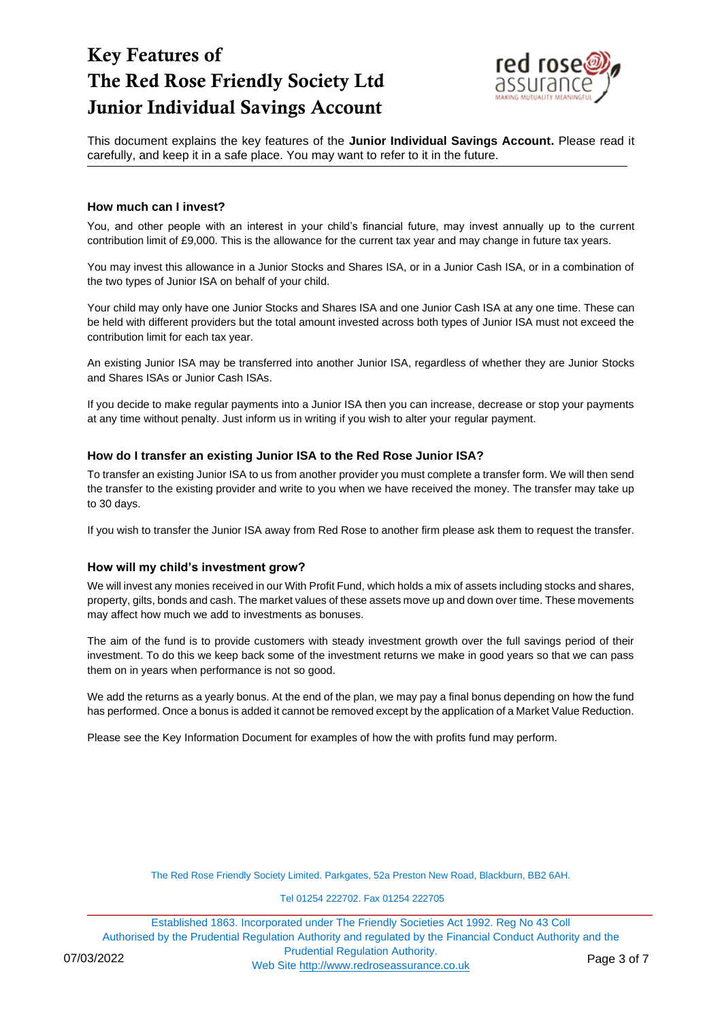

This document explains the key features of the **Junior Individual Savings Account.** Please read it carefully, and keep it in a safe place. You may want to refer to it in the future.

#### **How much can I invest?**

You, and other people with an interest in your child's financial future, may invest annually up to the current contribution limit of £9,000. This is the allowance for the current tax year and may change in future tax years.

You may invest this allowance in a Junior Stocks and Shares ISA, or in a Junior Cash ISA, or in a combination of the two types of Junior ISA on behalf of your child.

Your child may only have one Junior Stocks and Shares ISA and one Junior Cash ISA at any one time. These can be held with different providers but the total amount invested across both types of Junior ISA must not exceed the contribution limit for each tax year.

An existing Junior ISA may be transferred into another Junior ISA, regardless of whether they are Junior Stocks and Shares ISAs or Junior Cash ISAs.

If you decide to make regular payments into a Junior ISA then you can increase, decrease or stop your payments at any time without penalty. Just inform us in writing if you wish to alter your regular payment.

#### **How do I transfer an existing Junior ISA to the Red Rose Junior ISA?**

To transfer an existing Junior ISA to us from another provider you must complete a transfer form. We will then send the transfer to the existing provider and write to you when we have received the money. The transfer may take up to 30 days.

If you wish to transfer the Junior ISA away from Red Rose to another firm please ask them to request the transfer.

#### **How will my child's investment grow?**

We will invest any monies received in our With Profit Fund, which holds a mix of assets including stocks and shares, property, gilts, bonds and cash. The market values of these assets move up and down over time. These movements may affect how much we add to investments as bonuses.

The aim of the fund is to provide customers with steady investment growth over the full savings period of their investment. To do this we keep back some of the investment returns we make in good years so that we can pass them on in years when performance is not so good.

We add the returns as a yearly bonus. At the end of the plan, we may pay a final bonus depending on how the fund has performed. Once a bonus is added it cannot be removed except by the application of a Market Value Reduction.

Please see the Key Information Document for examples of how the with profits fund may perform.

The Red Rose Friendly Society Limited. Parkgates, 52a Preston New Road, Blackburn, BB2 6AH.

Tel 01254 222702. Fax 01254 222705

Established 1863. Incorporated under The Friendly Societies Act 1992. Reg No 43 Coll Authorised by the Prudential Regulation Authority and regulated by the Financial Conduct Authority and the Prudential Regulation Authority. 07/03/2022<br>Web Site [http://www.redroseassurance.co.uk](http://www.redroseassurance.co.uk/) Page 3 of 7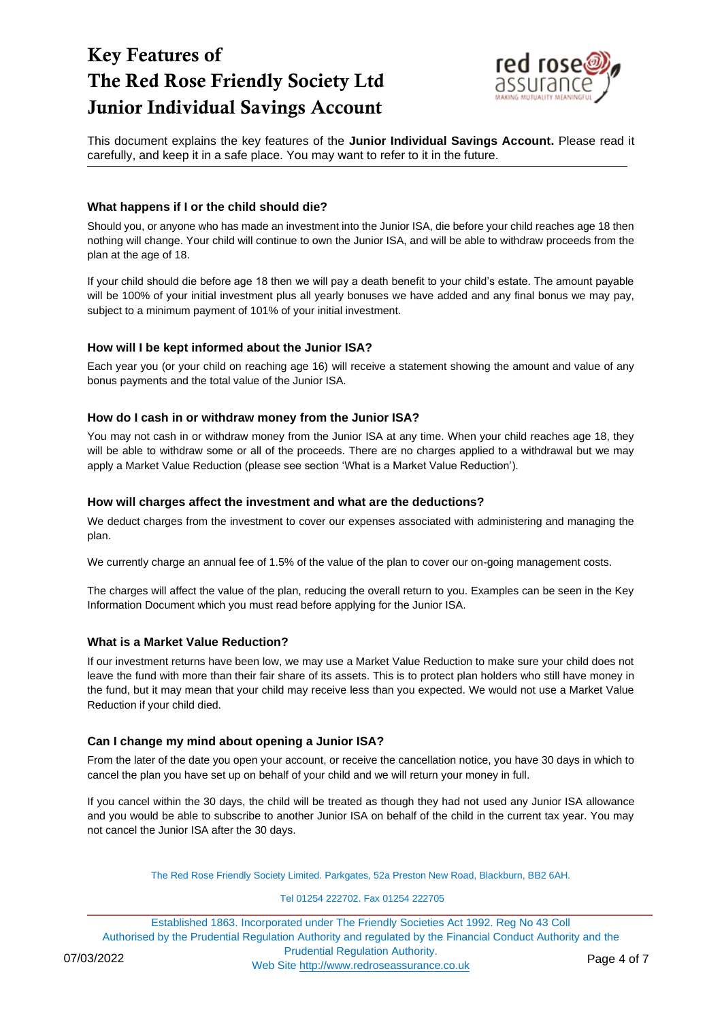

This document explains the key features of the **Junior Individual Savings Account.** Please read it carefully, and keep it in a safe place. You may want to refer to it in the future.

### **What happens if I or the child should die?**

Should you, or anyone who has made an investment into the Junior ISA, die before your child reaches age 18 then nothing will change. Your child will continue to own the Junior ISA, and will be able to withdraw proceeds from the plan at the age of 18.

If your child should die before age 18 then we will pay a death benefit to your child's estate. The amount payable will be 100% of your initial investment plus all yearly bonuses we have added and any final bonus we may pay, subject to a minimum payment of 101% of your initial investment.

### **How will I be kept informed about the Junior ISA?**

Each year you (or your child on reaching age 16) will receive a statement showing the amount and value of any bonus payments and the total value of the Junior ISA.

### **How do I cash in or withdraw money from the Junior ISA?**

You may not cash in or withdraw money from the Junior ISA at any time. When your child reaches age 18, they will be able to withdraw some or all of the proceeds. There are no charges applied to a withdrawal but we may apply a Market Value Reduction (please see section 'What is a Market Value Reduction').

### **How will charges affect the investment and what are the deductions?**

We deduct charges from the investment to cover our expenses associated with administering and managing the plan.

We currently charge an annual fee of 1.5% of the value of the plan to cover our on-going management costs.

The charges will affect the value of the plan, reducing the overall return to you. Examples can be seen in the Key Information Document which you must read before applying for the Junior ISA.

#### **What is a Market Value Reduction?**

If our investment returns have been low, we may use a Market Value Reduction to make sure your child does not leave the fund with more than their fair share of its assets. This is to protect plan holders who still have money in the fund, but it may mean that your child may receive less than you expected. We would not use a Market Value Reduction if your child died.

## **Can I change my mind about opening a Junior ISA?**

From the later of the date you open your account, or receive the cancellation notice, you have 30 days in which to cancel the plan you have set up on behalf of your child and we will return your money in full.

If you cancel within the 30 days, the child will be treated as though they had not used any Junior ISA allowance and you would be able to subscribe to another Junior ISA on behalf of the child in the current tax year. You may not cancel the Junior ISA after the 30 days.

The Red Rose Friendly Society Limited. Parkgates, 52a Preston New Road, Blackburn, BB2 6AH.

#### Tel 01254 222702. Fax 01254 222705

Established 1863. Incorporated under The Friendly Societies Act 1992. Reg No 43 Coll Authorised by the Prudential Regulation Authority and regulated by the Financial Conduct Authority and the Prudential Regulation Authority. 07/03/2022<br>Web Site [http://www.redroseassurance.co.uk](http://www.redroseassurance.co.uk/) Page 4 of 7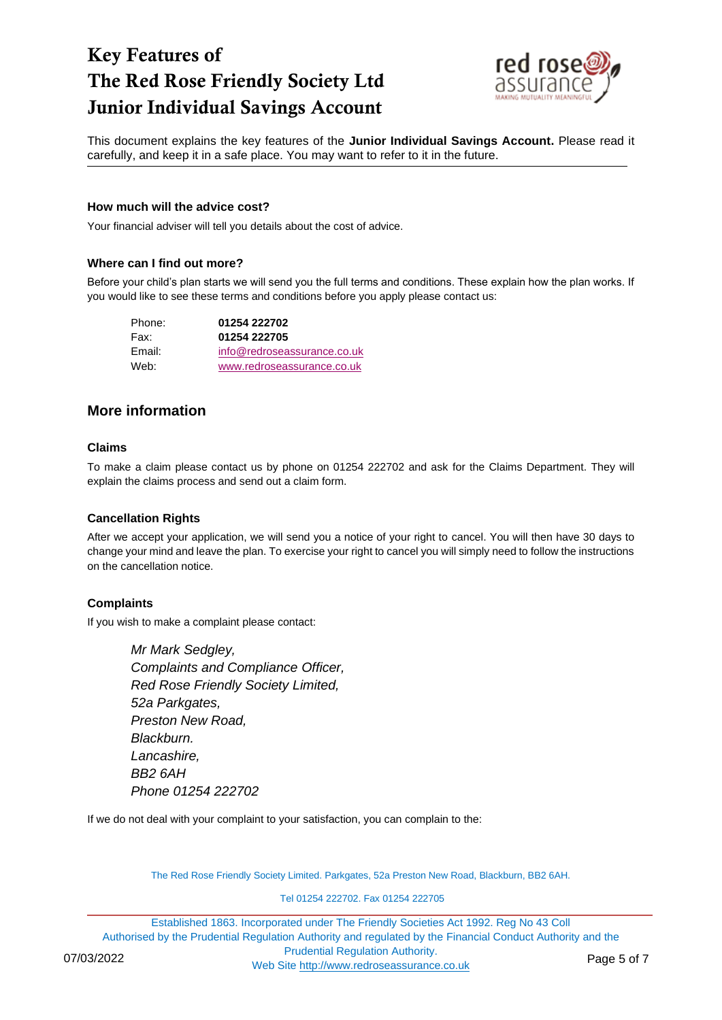

This document explains the key features of the **Junior Individual Savings Account.** Please read it carefully, and keep it in a safe place. You may want to refer to it in the future.

#### **How much will the advice cost?**

Your financial adviser will tell you details about the cost of advice.

### **Where can I find out more?**

Before your child's plan starts we will send you the full terms and conditions. These explain how the plan works. If you would like to see these terms and conditions before you apply please contact us:

| Phone: | 01254 222702                |
|--------|-----------------------------|
| Fax:   | 01254 222705                |
| Email: | info@redroseassurance.co.uk |
| Web:   | www.redroseassurance.co.uk  |

## **More information**

#### **Claims**

To make a claim please contact us by phone on 01254 222702 and ask for the Claims Department. They will explain the claims process and send out a claim form.

## **Cancellation Rights**

After we accept your application, we will send you a notice of your right to cancel. You will then have 30 days to change your mind and leave the plan. To exercise your right to cancel you will simply need to follow the instructions on the cancellation notice.

## **Complaints**

If you wish to make a complaint please contact:

*Mr Mark Sedgley, Complaints and Compliance Officer, Red Rose Friendly Society Limited, 52a Parkgates, Preston New Road, Blackburn. Lancashire, BB2 6AH Phone 01254 222702*

If we do not deal with your complaint to your satisfaction, you can complain to the:

The Red Rose Friendly Society Limited. Parkgates, 52a Preston New Road, Blackburn, BB2 6AH.

Tel 01254 222702. Fax 01254 222705

Established 1863. Incorporated under The Friendly Societies Act 1992. Reg No 43 Coll Authorised by the Prudential Regulation Authority and regulated by the Financial Conduct Authority and the Prudential Regulation Authority. 07/03/2022 Web Site [http://www.redroseassurance.co.uk](http://www.redroseassurance.co.uk/) Page 5 of 7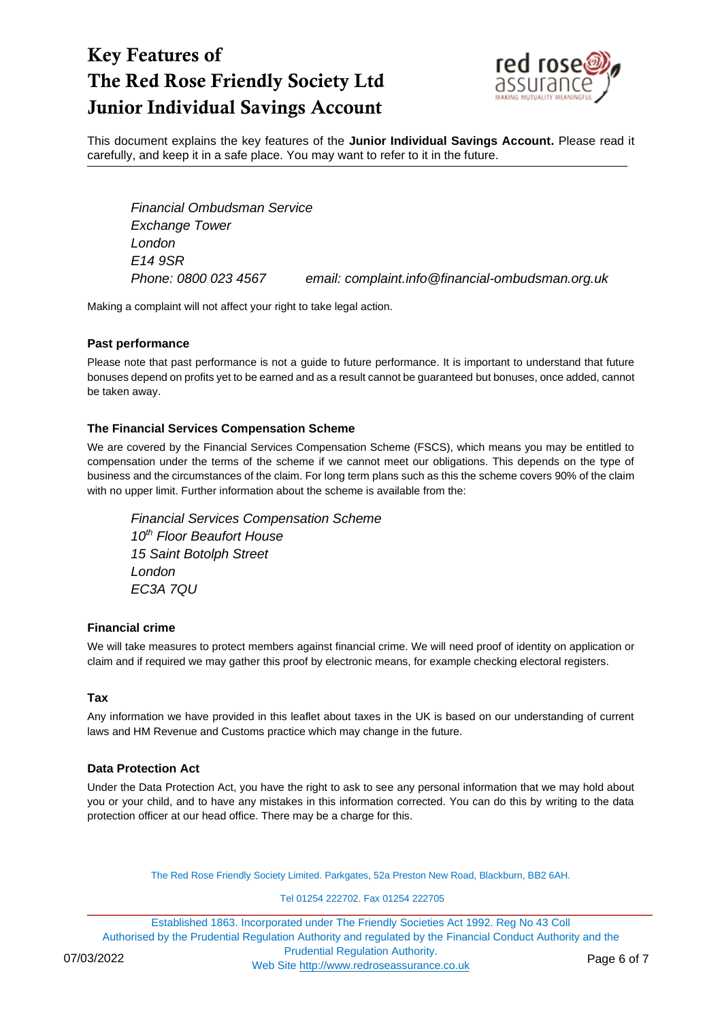

This document explains the key features of the **Junior Individual Savings Account.** Please read it carefully, and keep it in a safe place. You may want to refer to it in the future.

*Financial Ombudsman Service Exchange Tower London E14 9SR*

*Phone: 0800 023 4567 email: complaint.info@financial-ombudsman.org.uk*

Making a complaint will not affect your right to take legal action.

#### **Past performance**

Please note that past performance is not a guide to future performance. It is important to understand that future bonuses depend on profits yet to be earned and as a result cannot be guaranteed but bonuses, once added, cannot be taken away.

#### **The Financial Services Compensation Scheme**

We are covered by the Financial Services Compensation Scheme (FSCS), which means you may be entitled to compensation under the terms of the scheme if we cannot meet our obligations. This depends on the type of business and the circumstances of the claim. For long term plans such as this the scheme covers 90% of the claim with no upper limit. Further information about the scheme is available from the:

*Financial Services Compensation Scheme 10th Floor Beaufort House 15 Saint Botolph Street London EC3A 7QU*

#### **Financial crime**

We will take measures to protect members against financial crime. We will need proof of identity on application or claim and if required we may gather this proof by electronic means, for example checking electoral registers.

#### **Tax**

Any information we have provided in this leaflet about taxes in the UK is based on our understanding of current laws and HM Revenue and Customs practice which may change in the future.

#### **Data Protection Act**

Under the Data Protection Act, you have the right to ask to see any personal information that we may hold about you or your child, and to have any mistakes in this information corrected. You can do this by writing to the data protection officer at our head office. There may be a charge for this.

The Red Rose Friendly Society Limited. Parkgates, 52a Preston New Road, Blackburn, BB2 6AH.

Tel 01254 222702. Fax 01254 222705

Established 1863. Incorporated under The Friendly Societies Act 1992. Reg No 43 Coll Authorised by the Prudential Regulation Authority and regulated by the Financial Conduct Authority and the Prudential Regulation Authority. 07/03/2022<br>Web Site [http://www.redroseassurance.co.uk](http://www.redroseassurance.co.uk/) Page 6 of 7